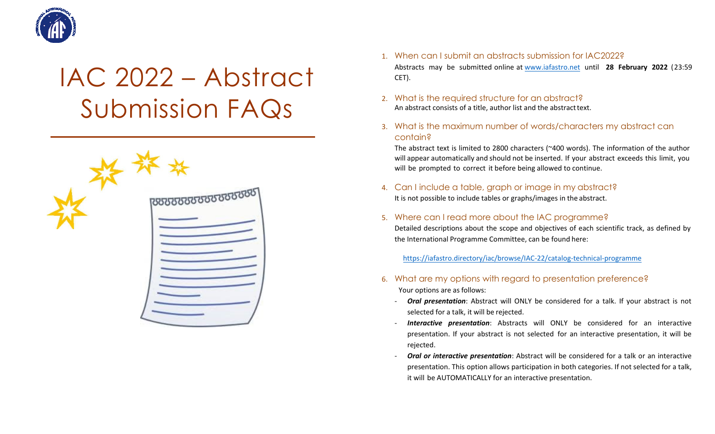

# IAC 2022 – Abstract Submission FAQs



- 1. When can I submit an abstracts submission for IAC2022? Abstracts may be submitted online a[t www.iafastro.net](http://www.iafastro.net/) until **28 February 2022** (23:59 CET).
- 2. What is the required structure for an abstract? An abstract consists of a title, author list and the abstract text.
- 3. What is the maximum number of words/characters my abstract can contain?

The abstract text is limited to 2800 characters (~400 words). The information of the author will appear automatically and should not be inserted. If your abstract exceeds this limit, you will be prompted to correct it before being allowed to continue.

- 4. Can I include a table, graph or image in my abstract? It is not possible to include tables or graphs/images in the abstract.
- 5. Where can I read more about the IAC programme?

Detailed descriptions about the scope and objectives of each scientific track, as defined by the International Programme Committee, can be found here:

<https://iafastro.directory/iac/browse/IAC-22/catalog-technical-programme>

- 6. What are my options with regard to presentation preference? Your options are as follows:
	- **Oral presentation**: Abstract will ONLY be considered for a talk. If your abstract is not selected for a talk, it will be rejected.
	- *Interactive presentation*: Abstracts will ONLY be considered for an interactive presentation. If your abstract is not selected for an interactive presentation, it will be rejected.
	- **Oral or interactive presentation**: Abstract will be considered for a talk or an interactive presentation. This option allows participation in both categories. If not selected for a talk, it will be AUTOMATICALLY for an interactive presentation.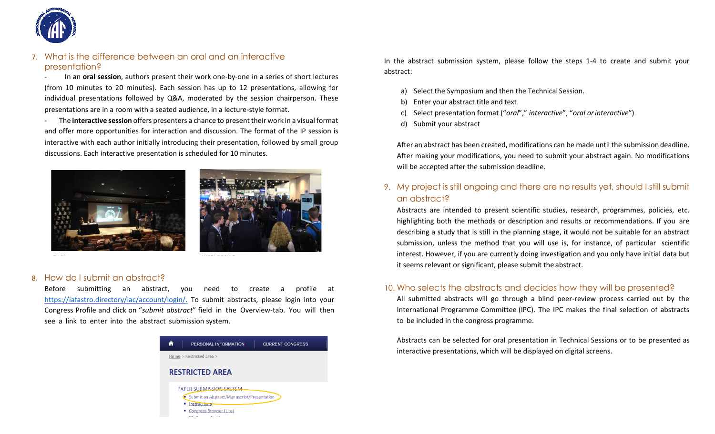

## 7. What is the difference between an oral and an interactive presentation?

- In an **oral session**, authors present their work one-by-one in a series of short lectures (from 10 minutes to 20 minutes). Each session has up to 12 presentations, allowing for individual presentations followed by Q&A, moderated by the session chairperson. These presentations are in a room with a seated audience, in a lecture-style format.

- The **interactive session** offers presenters a chance to present their work in a visual format and offer more opportunities for interaction and discussion. The format of the IP session is interactive with each author initially introducing their presentation, followed by small group discussions. Each interactive presentation is scheduled for 10 minutes.





#### 8. How do I submit an abstract?

Before submitting an abstract, you need to create a profile a[t](https://iafastro.directory/iac/account/login/) [https://iafastro.directory/iac/account/login/.](https://iafastro.directory/iac/account/login/) To submit abstracts, please login into your Congress Profile and click on "*submit abstract*" field in the Overview-tab. You will then see a link to enter into the abstract submission system.



In the abstract submission system, please follow the steps 1-4 to create and submit your abstract:

- a) Select the Symposium and then the Technical Session.
- b) Enter your abstract title and text
- c) Select presentation format ("*oral*"," *interactive*", "*oral orinteractive*")
- d) Submit your abstract

After an abstract has been created, modifications can be made until the submission deadline. After making your modifications, you need to submit your abstract again. No modifications will be accepted after the submission deadline.

## 9. My project is still ongoing and there are no results yet, should I still submit an abstract?

Abstracts are intended to present scientific studies, research, programmes, policies, etc. highlighting both the methods or description and results or recommendations. If you are describing a study that is still in the planning stage, it would not be suitable for an abstract submission, unless the method that you will use is, for instance, of particular scientific interest. However, if you are currently doing investigation and you only have initial data but it seems relevant or significant, please submit the abstract.

## 10. Who selects the abstracts and decides how they will be presented?

All submitted abstracts will go through a blind peer-review process carried out by the International Programme Committee (IPC). The IPC makes the final selection of abstracts to be included in the congress programme.

Abstracts can be selected for oral presentation in Technical Sessions or to be presented as interactive presentations, which will be displayed on digital screens.